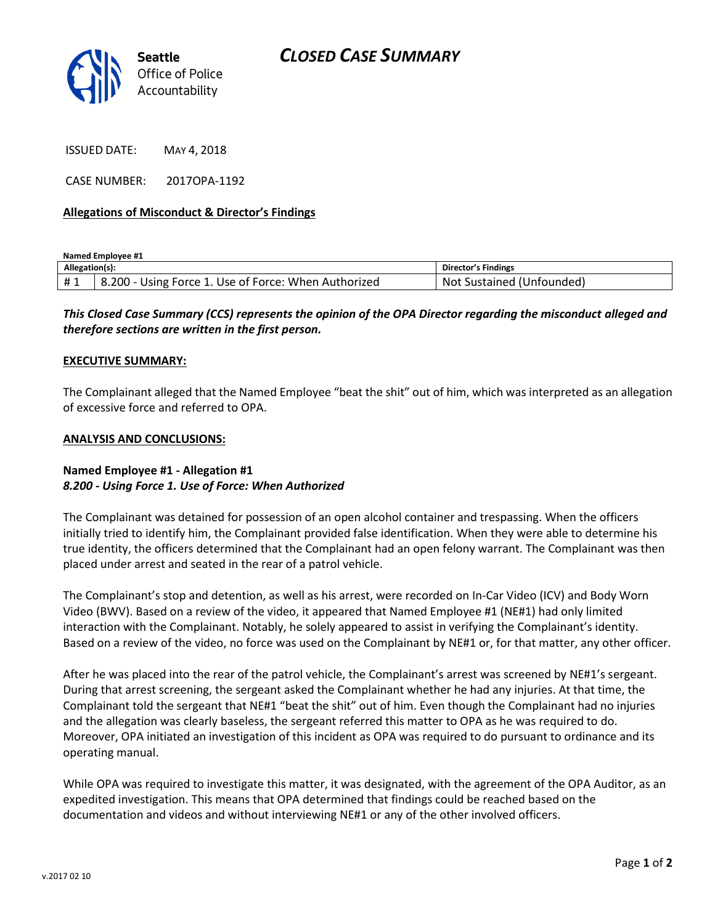

ISSUED DATE: MAY 4, 2018

CASE NUMBER: 2017OPA-1192

### **Allegations of Misconduct & Director's Findings**

**Named Employee #1**

| Allegation(s): |                                                                     | <b>Director's Findings</b>     |
|----------------|---------------------------------------------------------------------|--------------------------------|
| #1             | ن ا - 200. ن $\,$<br>- Using Force 1. Use of Force: When Authorized | Sustained (Unfounded)<br>. Not |

# *This Closed Case Summary (CCS) represents the opinion of the OPA Director regarding the misconduct alleged and therefore sections are written in the first person.*

#### **EXECUTIVE SUMMARY:**

The Complainant alleged that the Named Employee "beat the shit" out of him, which was interpreted as an allegation of excessive force and referred to OPA.

#### **ANALYSIS AND CONCLUSIONS:**

## **Named Employee #1 - Allegation #1** *8.200 - Using Force 1. Use of Force: When Authorized*

The Complainant was detained for possession of an open alcohol container and trespassing. When the officers initially tried to identify him, the Complainant provided false identification. When they were able to determine his true identity, the officers determined that the Complainant had an open felony warrant. The Complainant was then placed under arrest and seated in the rear of a patrol vehicle.

The Complainant's stop and detention, as well as his arrest, were recorded on In-Car Video (ICV) and Body Worn Video (BWV). Based on a review of the video, it appeared that Named Employee #1 (NE#1) had only limited interaction with the Complainant. Notably, he solely appeared to assist in verifying the Complainant's identity. Based on a review of the video, no force was used on the Complainant by NE#1 or, for that matter, any other officer.

After he was placed into the rear of the patrol vehicle, the Complainant's arrest was screened by NE#1's sergeant. During that arrest screening, the sergeant asked the Complainant whether he had any injuries. At that time, the Complainant told the sergeant that NE#1 "beat the shit" out of him. Even though the Complainant had no injuries and the allegation was clearly baseless, the sergeant referred this matter to OPA as he was required to do. Moreover, OPA initiated an investigation of this incident as OPA was required to do pursuant to ordinance and its operating manual.

While OPA was required to investigate this matter, it was designated, with the agreement of the OPA Auditor, as an expedited investigation. This means that OPA determined that findings could be reached based on the documentation and videos and without interviewing NE#1 or any of the other involved officers.